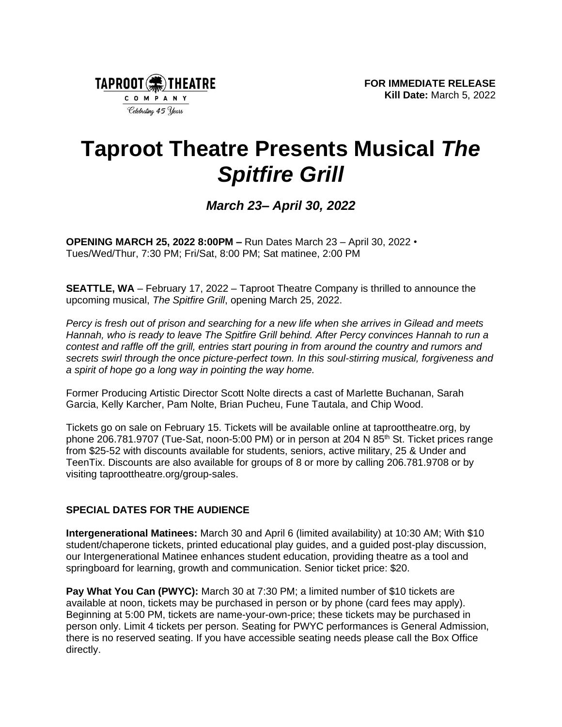

# **Taproot Theatre Presents Musical** *The Spitfire Grill*

# *March 23– April 30, 2022*

**OPENING MARCH 25, 2022 8:00PM –** Run Dates March 23 – April 30, 2022 • Tues/Wed/Thur, 7:30 PM; Fri/Sat, 8:00 PM; Sat matinee, 2:00 PM

**SEATTLE, WA** – February 17, 2022 – Taproot Theatre Company is thrilled to announce the upcoming musical, *The Spitfire Grill*, opening March 25, 2022.

*Percy is fresh out of prison and searching for a new life when she arrives in Gilead and meets Hannah, who is ready to leave The Spitfire Grill behind. After Percy convinces Hannah to run a contest and raffle off the grill, entries start pouring in from around the country and rumors and secrets swirl through the once picture-perfect town. In this soul-stirring musical, forgiveness and a spirit of hope go a long way in pointing the way home.*

Former Producing Artistic Director Scott Nolte directs a cast of Marlette Buchanan, Sarah Garcia, Kelly Karcher, Pam Nolte, Brian Pucheu, Fune Tautala, and Chip Wood.

Tickets go on sale on February 15. Tickets will be available online at taproottheatre.org, by phone 206.781.9707 (Tue-Sat, noon-5:00 PM) or in person at 204 N 85<sup>th</sup> St. Ticket prices range from \$25-52 with discounts available for students, seniors, active military, 25 & Under and TeenTix. Discounts are also available for groups of 8 or more by calling 206.781.9708 or by visiting taproottheatre.org/group-sales.

# **SPECIAL DATES FOR THE AUDIENCE**

**Intergenerational Matinees:** March 30 and April 6 (limited availability) at 10:30 AM; With \$10 student/chaperone tickets, printed educational play guides, and a guided post-play discussion, our Intergenerational Matinee enhances student education, providing theatre as a tool and springboard for learning, growth and communication. Senior ticket price: \$20.

**Pay What You Can (PWYC):** March 30 at 7:30 PM; a limited number of \$10 tickets are available at noon, tickets may be purchased in person or by phone (card fees may apply). Beginning at 5:00 PM, tickets are name-your-own-price; these tickets may be purchased in person only. Limit 4 tickets per person. Seating for PWYC performances is General Admission, there is no reserved seating. If you have accessible seating needs please call the Box Office directly.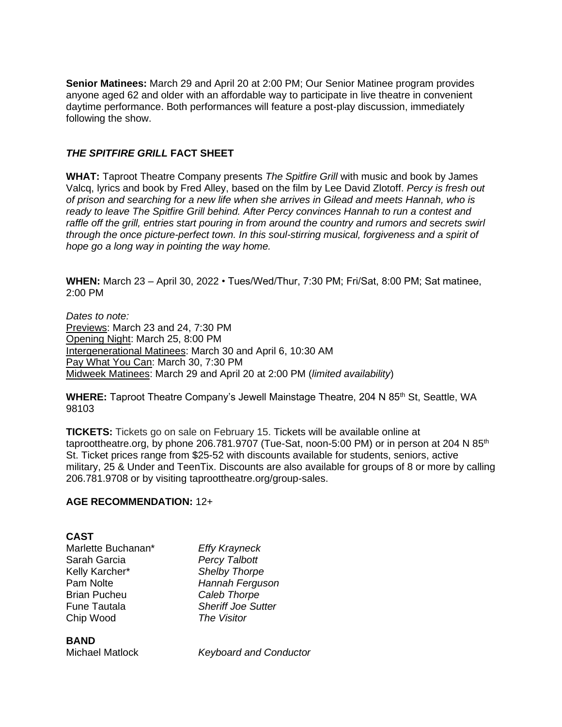**Senior Matinees:** March 29 and April 20 at 2:00 PM; Our Senior Matinee program provides anyone aged 62 and older with an affordable way to participate in live theatre in convenient daytime performance. Both performances will feature a post-play discussion, immediately following the show.

#### *THE SPITFIRE GRILL* **FACT SHEET**

**WHAT:** Taproot Theatre Company presents *The Spitfire Grill* with music and book by James Valcq, lyrics and book by Fred Alley, based on the film by Lee David Zlotoff. *Percy is fresh out of prison and searching for a new life when she arrives in Gilead and meets Hannah, who is ready to leave The Spitfire Grill behind. After Percy convinces Hannah to run a contest and*  raffle off the grill, entries start pouring in from around the country and rumors and secrets swirl *through the once picture-perfect town. In this soul-stirring musical, forgiveness and a spirit of hope go a long way in pointing the way home.*

**WHEN:** March 23 – April 30, 2022 • Tues/Wed/Thur, 7:30 PM; Fri/Sat, 8:00 PM; Sat matinee, 2:00 PM

*Dates to note:* Previews: March 23 and 24, 7:30 PM Opening Night: March 25, 8:00 PM Intergenerational Matinees: March 30 and April 6, 10:30 AM Pay What You Can: March 30, 7:30 PM Midweek Matinees: March 29 and April 20 at 2:00 PM (*limited availability*)

**WHERE:** Taproot Theatre Company's Jewell Mainstage Theatre, 204 N 85<sup>th</sup> St, Seattle, WA 98103

**TICKETS:** Tickets go on sale on February 15. Tickets will be available online at taproottheatre.org, by phone 206.781.9707 (Tue-Sat, noon-5:00 PM) or in person at 204 N  $85<sup>th</sup>$ St. Ticket prices range from \$25-52 with discounts available for students, seniors, active military, 25 & Under and TeenTix. Discounts are also available for groups of 8 or more by calling 206.781.9708 or by visiting taproottheatre.org/group-sales.

# **AGE RECOMMENDATION:** 12+

# **CAST**

| Marlette Buchanan*  | <b>Effy Krayneck</b>      |
|---------------------|---------------------------|
| Sarah Garcia        | <b>Percy Talbott</b>      |
| Kelly Karcher*      | <b>Shelby Thorpe</b>      |
| Pam Nolte           | Hannah Ferguson           |
| <b>Brian Pucheu</b> | Caleb Thorpe              |
| <b>Fune Tautala</b> | <b>Sheriff Joe Sutter</b> |
| Chip Wood           | The Visitor               |

#### **BAND**

Michael Matlock *Keyboard and Conductor*